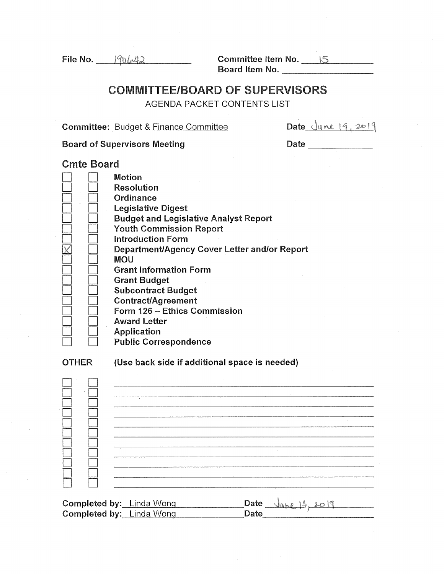File No.  $190642$ 

Committee Item No.  $\frac{15}{15}$ Board Item No.

## COMMITTEE/BOARD OF SUPERVISORS

AGENDA PACKET CONTENTS LIST

Committee: Budget & Finance Committee

|  | Date June 19, 2019 |  |  |  |  |
|--|--------------------|--|--|--|--|
|--|--------------------|--|--|--|--|

Committee: <u>Budget & Finance Committee</u> For Date Curve (9, 2011)<br>Board of Supervisors Meeting For Date

| Jau |  |
|-----|--|
|     |  |

Cmte Board

|              | <b>Motion</b><br><b>Resolution</b><br>Ordinance<br><b>Legislative Digest</b><br><b>Budget and Legislative Analyst Report</b><br><b>Youth Commission Report</b><br><b>Introduction Form</b><br>Department/Agency Cover Letter and/or Report<br><b>MOU</b><br><b>Grant Information Form</b><br><b>Grant Budget</b><br><b>Subcontract Budget</b><br><b>Contract/Agreement</b><br>Form 126 - Ethics Commission<br><b>Award Letter</b><br><b>Application</b><br><b>Public Correspondence</b> |                       |
|--------------|-----------------------------------------------------------------------------------------------------------------------------------------------------------------------------------------------------------------------------------------------------------------------------------------------------------------------------------------------------------------------------------------------------------------------------------------------------------------------------------------|-----------------------|
| <b>OTHER</b> | (Use back side if additional space is needed)                                                                                                                                                                                                                                                                                                                                                                                                                                           |                       |
|              | Completed by: Linda Wong<br>Completed by: Linda Wong                                                                                                                                                                                                                                                                                                                                                                                                                                    | Date Jane 14,<br>Date |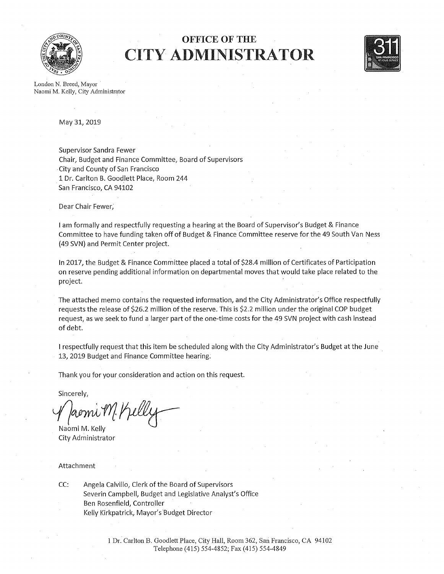

# OFFICE OF THE CITY ADMINISTRATOR



London N. Breed, Mayor NaomiM. Kelly, City Administrator

May 31, 2019

Supervisor Sandra Fewer Chair, Budget and Finance Committee, Board of Supervisors . City and County of San Francisco 1 Dr. Carlton B. Goodlett Place, Room 244 San Francisco, CA 94102

Dear Chair Fewer;

I am formally and respectfully requesting a hearing at the Board of Supervisor's Budget & Finance Committee to have funding taken off of Budget & Finance Committee reserve for the 49 South Van Ness (49 SVN) and Permit Center project.

In 2017, the Budget & Finance Committee placed a total of \$28.4 million of Certificates of Participation on reserve pending additional information on departmental moves that would take place related to the project.

The attached memo contains the requested information, and the City Administrator's Office respectfully requests the release of \$26.2 million of the reserve. This is \$2.2 million under the original COP budget request, as we seek to fund a larger part of the one-time costs for the 49 SVN project with cash instead of debt.

I respectfully request that this item be scheduled along with the City Administrator's Budget at the June . 13, 2019 Budget and Finance Committee hearing;

Thank you for your consideration and action on this request.

Sincerely,

J/wmw11/1/peeg

Naomi M. Kelly City Administrator

Attachment

CC: Angela Calvillo, Clerk of the Board of Supervisors Severin Campbell, Budget and Legislative Analyst's Office Ben Rosenfield, Controller Kelly Kirkpatrick, Mayor's Budget Director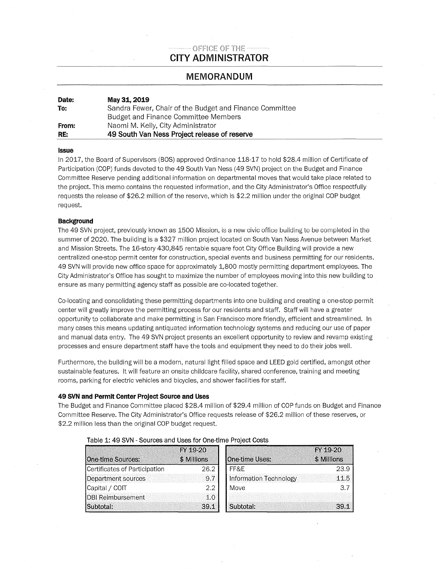## OFFICE OF THE-**CITY ADMINISTRATOR**

### **MEMORANDUM**

| Date: | May 31, 2019                                            |
|-------|---------------------------------------------------------|
| To:   | Sandra Fewer, Chair of the Budget and Finance Committee |
|       | Budget and Finance Committee Members                    |
| From: | Naomi M. Kelly, City Administrator                      |
| RE:   | 49 South Van Ness Project release of reserve            |

#### **Issue**

In 2017, the Board of Supervisors (BOS) approved Ordinance 118-17 to hold \$28.4 million of Certificate of Participation (COP) funds devoted to the 49 South Van Ness (49 SVN) project on the Budget and Finance Committee Reserve pending additional information on departmental moves that would take place related to the project. This memo contains the requested information, and the City Administrator's Office respectfully requests the release of \$26.2 million of the reserve, which is \$2.2 million under the original COP budget request.

#### **Background**

The 49 SVN project, previously known as 1500 Mission, is a new civic office building to be completed in the summer of 2020. The building is a \$327 million project located on South Van Ness Avenue between Market and Mission Streets. The 16-story 430,845 rentable square foot City Office Building will provide a new centralized one-stop permit center for construction, special events and business permitting for our residents. 49 SVN will provide new office space for approximately 1,800 mostly permitting department employees. The City Administrator's Office has sought to maximize the number of employees moving into this new building to ensure as many permitting agency staff as possible are co-located together.

Co-locating and consolidating these permitting departments into one building and creating a one-stop permit center will greatly improve the permitting process for our residents and staff. Staff will have a greater opportunity to collaborate and make permitting in San Francisco more friendly, efficient and streamlined. In many cases this means updating antiquated information technology systems and reducing our use of paper and manual data entry. The 49 SVN project presents an excellent opportunity to review and revamp existing processes and ensure department staff have the tools and equipment they need to do their jobs well.

Furthermore, the building will be a modern, natural light filled space and LEED gold certified, amongst other sustainable features. It will feature an onsite childcare facility, shared conference, training and meeting rooms, parking for electric vehicles and bicycles, and shower facilities for staff.

#### **49 SVN and Permit Center Project Source and Uses**

The Budget and Finance Committee placed \$28.4 million of \$29.4 million of COP funds on Budget and Finance Committee Reserve. The City Administrator's Office requests release of \$26.2 million of these reserves, or \$2.2 million less than the original COP budget request.

| <b>One-time Sources:</b>      | FY 19-20<br>\$ Millions | One-time Uses:         | FY 19-20<br>\$ Millions |  |
|-------------------------------|-------------------------|------------------------|-------------------------|--|
| Certificates of Participation | 26.2                    | FF&F                   | 23.9                    |  |
| Department sources            | 9.7                     | Information Technology | 11.5                    |  |
| Capital / COIT                | 2.2                     | Move                   | 3.7                     |  |
| DBI Reimbursement             | 1.0                     |                        |                         |  |
| Subtotal:                     | 39.1                    | Subtotal:              | 39.1                    |  |

#### **Table 1: 49 SVN- Sources and Uses for One-time Project Costs**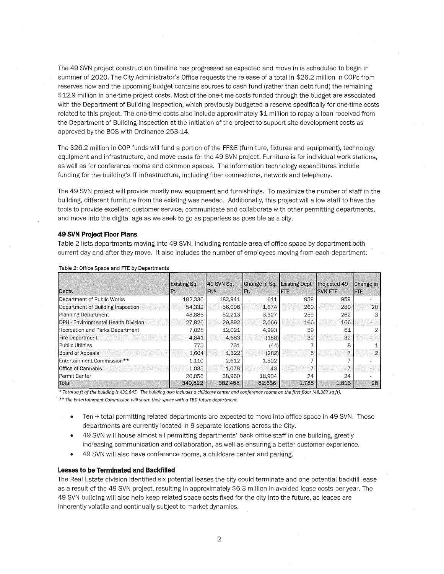The 49 SVN project construction timeline has progressed as expected and move in is scheduled to begin in summer of 2020. The City Administrator's Office requests the release of a total in \$26.2 million in COPs from reserves now and the upcoming budget contains sources to cash fund (rather than debt fund) the remaining \$12.9 million in one-time project costs. Most of the one-time costs funded through the budget are associated with the Department of Building Inspection, which previously budgeted a reserve specifically for one-time costs related to this project. The one-time costs also include approximately \$1 million to repay a loan received from the Department of Building Inspection at the initiation of the project to support site development costs as approved by the BOS with Ordinance 253-14.

The \$26.2 million in COP funds will fund a portion of the FF&E (furniture, fixtures and equipment), technology equipment and infrastructure, and move costs for the 49 SVN project. Furniture is for individual work stations, as well as for conference rooms and common spaces. The information technology expenditures include funding for the building's IT infrastructure, including fiber connections, network and telephony.

The 49 SVN project will provide mostly new equipment and furnishings. To maximize the number of staff in the building, different furniture from the existing was needed. Additionally, this project will allow staff to have the tools to provide excellent customer service, communicate and collaborate with other permitting departments, and move into the digital age as we seek to go as paperless as possible as a city.

#### **49 SVN Project Floor Plans**

Table 2 lists departments moving into 49 SVN, including rentable area of office space by department both current day and after they move. It also includes the number of employees moving from each department:

| Depts                                | Existing Sq.<br>Ft. | 49 SVN Sq.<br>$ Ft \rangle$ | Change in Sq. Existing Dept<br>FC. | lare  | Projected 49<br><b>ISVN FTE</b> | Change in<br>IN E |
|--------------------------------------|---------------------|-----------------------------|------------------------------------|-------|---------------------------------|-------------------|
| Department of Public Works           |                     | 182,941                     |                                    | 959   | 959                             |                   |
|                                      | 182,330             |                             | 611                                |       |                                 |                   |
| Department of Building Inspection    | 54,332              | 56,006                      | 1,674                              | 260   | 280                             | 20                |
| Planning Department.                 | 48,886              | 52,213                      | 3,327                              | 259   | 262                             |                   |
| IDPH - Environmental Health Division | 27,826              | 29,892                      | 2,066                              | 166   | 166                             |                   |
| Recreation and Parks Department      | 7.028               | 12,021                      | 4,993                              | 59    | 61                              |                   |
| Fire Department                      | 4.841               | 4,683                       | (158)                              | 32    | 32                              |                   |
| l Public Utilities                   | 775                 | 731                         | (44)                               |       |                                 |                   |
| Board of Appeals                     | 1.604               | 1,322                       | (282)                              | 5     |                                 |                   |
| Entertainment Commission**           | 1,110               | 2,612                       | 1,502                              |       |                                 |                   |
| Office of Cannabis                   | 1,035               | 1.078                       | 43                                 |       |                                 |                   |
| lPermit Center                       | 20,056              | 38,960                      | 18,904                             | 24    | 24                              |                   |
| Total                                | 349,822             | 382,458                     | 32,636                             | 1,785 | 1,813                           | 28                |

Table 2: Office Space and FTE by Departments

• *Total sq ft of the building is 430,845. The building also includes a child care center and conference roams an the first floor {48,387 sq ft).* 

*\*\*The Entertainment Commission will share their space with a TBD future department.* 

- Ten + total permitting related departments are expected to move into office space in 49 SVN. These departments are currently located in 9 separate locations across the City.
- 49 SVN will house almost all permitting departments' back office staff in one building, greatly increasing communication and collaboration, as well as ensuring a better customer experience.
- 49 SVN will also have conference rooms, a childcare center and parking.

#### **Leases to be Terminated and Backfilled**

The Real Estate division identified six potential leases the city could terminate and one potential backfill lease as a result of the 49 SVN project, resulting in approximately \$6.3 million in avoided lease costs per year. The 49 SVN building will also help keep related space costs fixed for the city into the future, as leases are inherently volatile and continually subject to market dynamics.